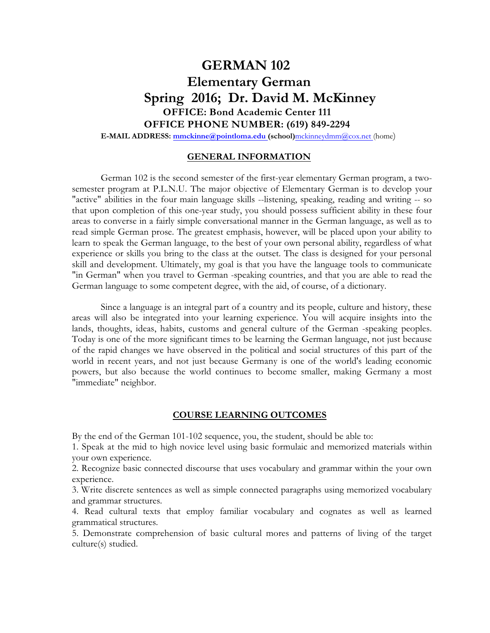# **GERMAN 102 Elementary German Spring 2016; Dr. David M. McKinney OFFICE: Bond Academic Center 111 OFFICE PHONE NUMBER: (619) 849-2294**

**E-MAIL ADDRESS: mmckinne@pointloma.edu (school)**mckinneydmm@cox.net (home)

# **GENERAL INFORMATION**

German 102 is the second semester of the first-year elementary German program, a twosemester program at P.L.N.U. The major objective of Elementary German is to develop your "active" abilities in the four main language skills --listening, speaking, reading and writing -- so that upon completion of this one-year study, you should possess sufficient ability in these four areas to converse in a fairly simple conversational manner in the German language, as well as to read simple German prose. The greatest emphasis, however, will be placed upon your ability to learn to speak the German language, to the best of your own personal ability, regardless of what experience or skills you bring to the class at the outset. The class is designed for your personal skill and development. Ultimately, my goal is that you have the language tools to communicate "in German" when you travel to German -speaking countries, and that you are able to read the German language to some competent degree, with the aid, of course, of a dictionary.

Since a language is an integral part of a country and its people, culture and history, these areas will also be integrated into your learning experience. You will acquire insights into the lands, thoughts, ideas, habits, customs and general culture of the German -speaking peoples. Today is one of the more significant times to be learning the German language, not just because of the rapid changes we have observed in the political and social structures of this part of the world in recent years, and not just because Germany is one of the world's leading economic powers, but also because the world continues to become smaller, making Germany a most "immediate" neighbor.

# **COURSE LEARNING OUTCOMES**

By the end of the German 101-102 sequence, you, the student, should be able to:

1. Speak at the mid to high novice level using basic formulaic and memorized materials within your own experience.

2. Recognize basic connected discourse that uses vocabulary and grammar within the your own experience.

3. Write discrete sentences as well as simple connected paragraphs using memorized vocabulary and grammar structures.

4. Read cultural texts that employ familiar vocabulary and cognates as well as learned grammatical structures.

5. Demonstrate comprehension of basic cultural mores and patterns of living of the target culture(s) studied.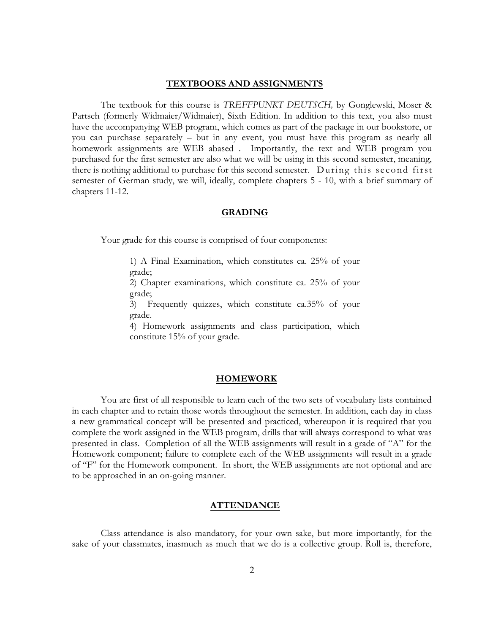#### **TEXTBOOKS AND ASSIGNMENTS**

The textbook for this course is *TREFFPUNKT DEUTSCH,* by Gonglewski, Moser & Partsch (formerly Widmaier/Widmaier), Sixth Edition. In addition to this text, you also must have the accompanying WEB program, which comes as part of the package in our bookstore, or you can purchase separately – but in any event, you must have this program as nearly all homework assignments are WEB abased . Importantly, the text and WEB program you purchased for the first semester are also what we will be using in this second semester, meaning, there is nothing additional to purchase for this second semester. During this second first semester of German study, we will, ideally, complete chapters 5 - 10, with a brief summary of chapters 11-12.

## **GRADING**

Your grade for this course is comprised of four components:

1) A Final Examination, which constitutes ca. 25% of your grade;

2) Chapter examinations, which constitute ca. 25% of your grade;

3) Frequently quizzes, which constitute ca.35% of your grade.

4) Homework assignments and class participation, which constitute 15% of your grade.

#### **HOMEWORK**

You are first of all responsible to learn each of the two sets of vocabulary lists contained in each chapter and to retain those words throughout the semester. In addition, each day in class a new grammatical concept will be presented and practiced, whereupon it is required that you complete the work assigned in the WEB program, drills that will always correspond to what was presented in class. Completion of all the WEB assignments will result in a grade of "A" for the Homework component; failure to complete each of the WEB assignments will result in a grade of "F" for the Homework component. In short, the WEB assignments are not optional and are to be approached in an on-going manner.

# **ATTENDANCE**

Class attendance is also mandatory, for your own sake, but more importantly, for the sake of your classmates, inasmuch as much that we do is a collective group. Roll is, therefore,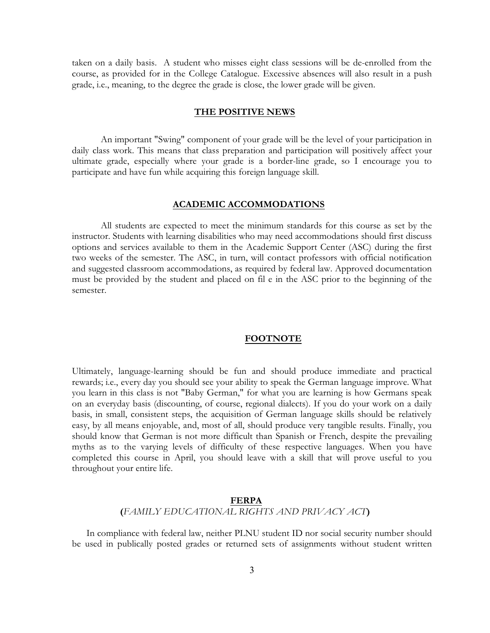taken on a daily basis. A student who misses eight class sessions will be de-enrolled from the course, as provided for in the College Catalogue. Excessive absences will also result in a push grade, i.e., meaning, to the degree the grade is close, the lower grade will be given.

# **THE POSITIVE NEWS**

An important "Swing" component of your grade will be the level of your participation in daily class work. This means that class preparation and participation will positively affect your ultimate grade, especially where your grade is a border-line grade, so I encourage you to participate and have fun while acquiring this foreign language skill.

### **ACADEMIC ACCOMMODATIONS**

All students are expected to meet the minimum standards for this course as set by the instructor. Students with learning disabilities who may need accommodations should first discuss options and services available to them in the Academic Support Center (ASC) during the first two weeks of the semester. The ASC, in turn, will contact professors with official notification and suggested classroom accommodations, as required by federal law. Approved documentation must be provided by the student and placed on fil e in the ASC prior to the beginning of the semester.

# **FOOTNOTE**

Ultimately, language-learning should be fun and should produce immediate and practical rewards; i.e., every day you should see your ability to speak the German language improve. What you learn in this class is not "Baby German," for what you are learning is how Germans speak on an everyday basis (discounting, of course, regional dialects). If you do your work on a daily basis, in small, consistent steps, the acquisition of German language skills should be relatively easy, by all means enjoyable, and, most of all, should produce very tangible results. Finally, you should know that German is not more difficult than Spanish or French, despite the prevailing myths as to the varying levels of difficulty of these respective languages. When you have completed this course in April, you should leave with a skill that will prove useful to you throughout your entire life.

# **FERPA (***FAMILY EDUCATIONAL RIGHTS AND PRIVACY ACT***)**

In compliance with federal law, neither PLNU student ID nor social security number should be used in publically posted grades or returned sets of assignments without student written